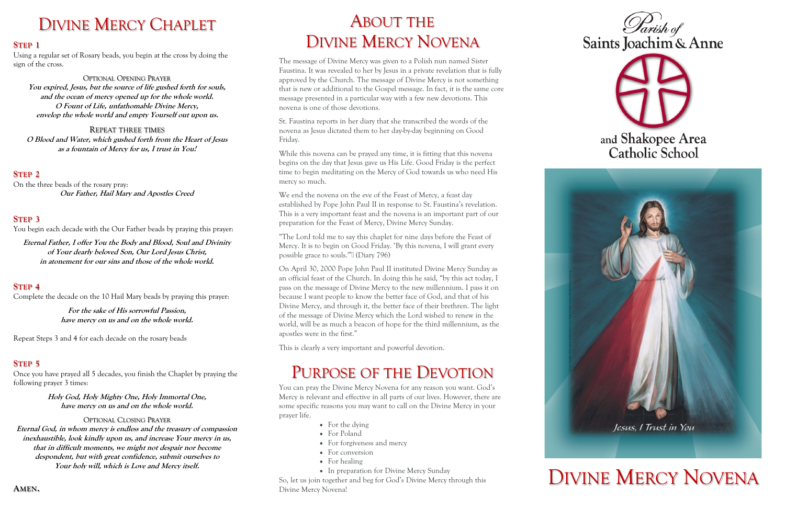# DIVINE MERCY CHAPLET

#### **STEP 1**

Using a regular set of Rosary beads, you begin at the cross by doing the sign of the cross.

#### OPTIONAL OPENING PRAYER

**You expired, Jesus, but the source of life gushed forth for souls, and the ocean of mercy opened up for the whole world. O Fount of Life, unfathomable Divine Mercy, envelop the whole world and empty Yourself out upon us.**

REPEAT THREE TIMES **O Blood and Water, which gushed forth from the Heart of Jesus as a fountain of Mercy for us, I trust in You!**

### **STEP 2**

On the three beads of the rosary pray: **Our Father, Hail Mary and Apostles Creed**

#### **STEP 3**

You begin each decade with the Our Father beads by praying this prayer:

**Eternal Father, I offer You the Body and Blood, Soul and Divinity of Your dearly beloved Son, Our Lord Jesus Christ, in atonement for our sins and those of the whole world.**

### **STEP 4**

Complete the decade on the 10 Hail Mary beads by praying this prayer:

**For the sake of His sorrowful Passion, have mercy on us and on the whole world.**

Repeat Steps 3 and 4 for each decade on the rosary beads

#### **STEP 5**

Once you have prayed all 5 decades, you finish the Chaplet by praying the following prayer 3 times:

> **Holy God, Holy Mighty One, Holy Immortal One, have mercy on us and on the whole world.**

#### OPTIONAL CLOSING PRAYER

**Eternal God, in whom mercy is endless and the treasury of compassion inexhaustible, look kindly upon us, and increase Your mercy in us, that in difficult moments, we might not despair nor become despondent, but with great confidence, submit ourselves to Your holy will, which is Love and Mercy itself.**

**AMEN.**





# and Shakopee Area Catholic School



# ABOUT THE DIVINE MERCY NOVENA

The message of Divine Mercy was given to a Polish nun named Sister Faustina. It was revealed to her by Jesus in a private revelation that is fully approved by the Church. The message of Divine Mercy is not something that is new or additional to the Gospel message. In fact, it is the same core message presented in a particular way with a few new devotions. This novena is one of those devotions.

- For the dying
- For Poland
- For forgiveness and mercy
- For conversion
- For healing
- In preparation for Divine Mercy Sunday

St. Faustina reports in her diary that she transcribed the words of the novena as Jesus dictated them to her day-by-day beginning on Good Friday.

While this novena can be prayed any time, it is fitting that this novena begins on the day that Jesus gave us His Life. Good Friday is the perfect time to begin meditating on the Mercy of God towards us who need His mercy so much.

We end the novena on the eve of the Feast of Mercy, a feast day established by Pope John Paul II in response to St. Faustina's revelation. This is a very important feast and the novena is an important part of our preparation for the Feast of Mercy, Divine Mercy Sunday.

"The Lord told me to say this chaplet for nine days before the Feast of Mercy. It is to begin on Good Friday. 'By this novena, I will grant every possible grace to souls.'"• (Diary 796)

On April 30, 2000 Pope John Paul II instituted Divine Mercy Sunday as an official feast of the Church. In doing this he said, "by this act today, I pass on the message of Divine Mercy to the new millennium. I pass it on because I want people to know the better face of God, and that of his Divine Mercy, and through it, the better face of their brethren. The light of the message of Divine Mercy which the Lord wished to renew in the world, will be as much a beacon of hope for the third millennium, as the apostles were in the first."

This is clearly a very important and powerful devotion.

# PURPOSE OF THE DEVOTION

You can pray the Divine Mercy Novena for any reason you want. God's Mercy is relevant and effective in all parts of our lives. However, there are some specific reasons you may want to call on the Divine Mercy in your prayer life.

So, let us join together and beg for God's Divine Mercy through this Divine Mercy Novena!

# DIVINE MERCY NOVENA